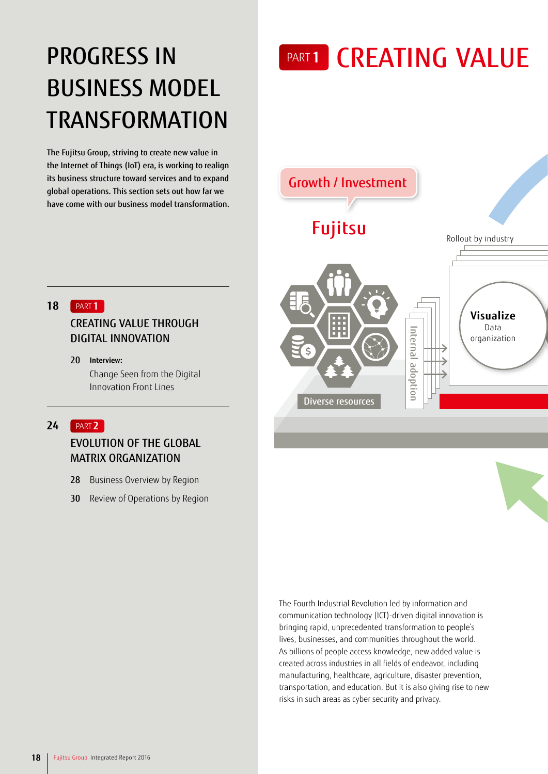## **PROGRESS IN** BUSINESS MODEL **TRANSFORMATION**

The Fujitsu Group, striving to create new value in the Internet of Things (IoT) era, is working to realign its business structure toward services and to expand global operations. This section sets out how far we have come with our business model transformation. PART 1 CREATING VALUE



#### PART **1 18**

### CREATING VALUE THROUGH DIGITAL INNOVATION

**Interview:** 20 Change Seen from the Digital Innovation Front Lines

#### PART **2 24**

## EVOLUTION OF THE GLOBAL MATRIX ORGANIZATION

- Business Overview by Region 28
- Review of Operations by Region 30

The Fourth Industrial Revolution led by information and communication technology (ICT)-driven digital innovation is bringing rapid, unprecedented transformation to people's lives, businesses, and communities throughout the world. As billions of people access knowledge, new added value is created across industries in all fields of endeavor, including manufacturing, healthcare, agriculture, disaster prevention, transportation, and education. But it is also giving rise to new risks in such areas as cyber security and privacy.